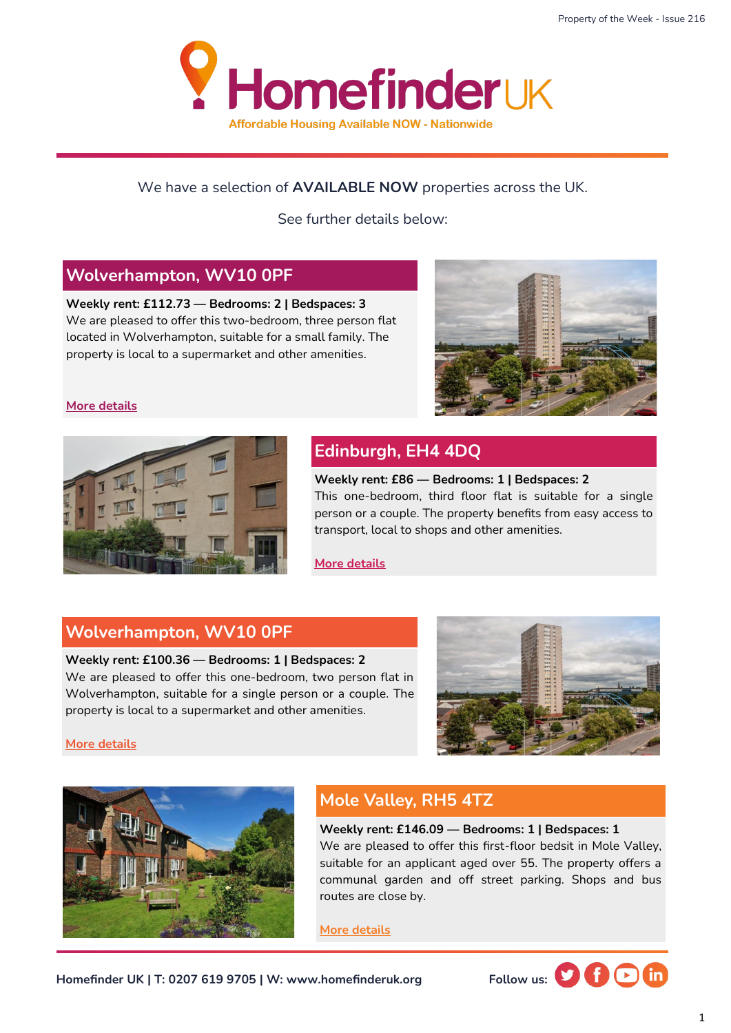

#### We have a selection of **AVAILABLE NOW** properties across the UK.

See further details below:

### **Wolverhampton, WV10 0PF**

**Weekly rent: £112.73 — Bedrooms: 2 | Bedspaces: 3** We are pleased to offer this two-bedroom, three person flat located in Wolverhampton, suitable for a small family. The property is local to a supermarket and other amenities.



#### **[More details](https://homefinderuk.org/property-detail/542398471-HF2001761)**

**[More details](https://homefinderuk.org/property-detail/542398462-HF2001760)**



# **Edinburgh, EH4 4DQ**

**Weekly rent: £86 — Bedrooms: 1 | Bedspaces: 2**  This one-bedroom, third floor flat is suitable for a single person or a couple. The property benefits from easy access to transport, local to shops and other amenities.

**[More details](https://homefinderuk.org/property-detail/538634061-HF2001668)**

### **Wolverhampton, WV10 0PF**

#### **Weekly rent: £100.36 — Bedrooms: 1 | Bedspaces: 2**

We are pleased to offer this one-bedroom, two person flat in Wolverhampton, suitable for a single person or a couple. The property is local to a supermarket and other amenities.





# **Mole Valley, RH5 4TZ**

**Weekly rent: £146.09 — Bedrooms: 1 | Bedspaces: 1**

We are pleased to offer this first-floor bedsit in Mole Valley, suitable for an applicant aged over 55. The property offers a communal garden and off street parking. Shops and bus routes are close by.

**[More details](https://homefinderuk.org/property-detail/528087721-HF2001274)**